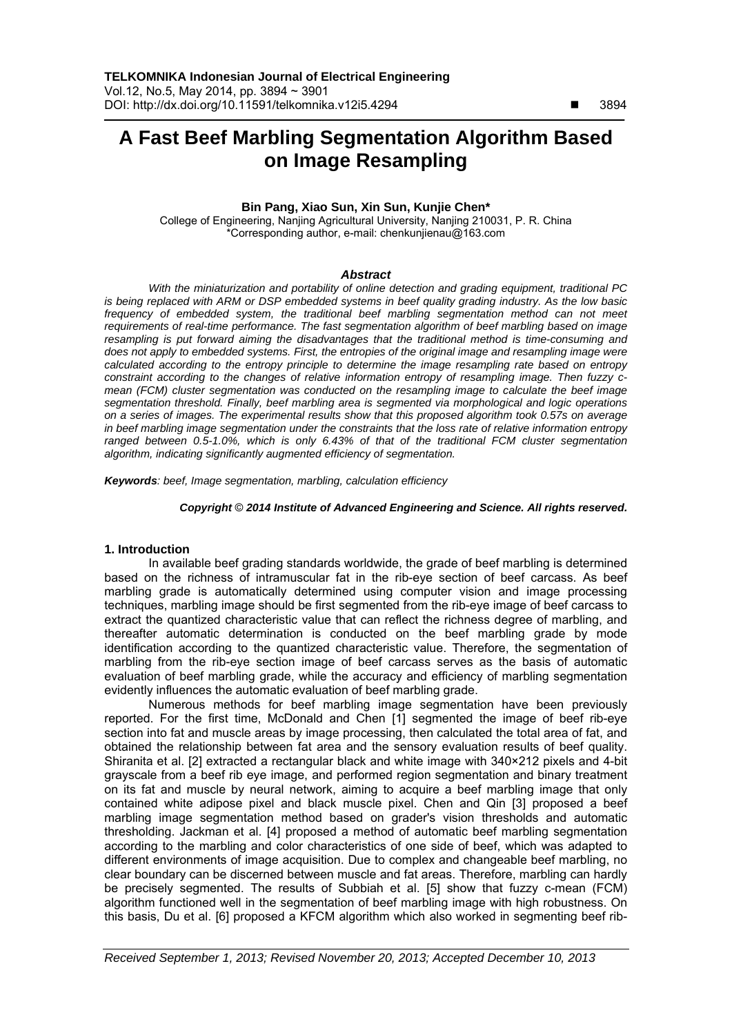# **A Fast Beef Marbling Segmentation Algorithm Based on Image Resampling**

# **Bin Pang, Xiao Sun, Xin Sun, Kunjie Chen\***

College of Engineering, Nanjing Agricultural University, Nanjing 210031, P. R. China \*Corresponding author, e-mail: chenkunjienau@163.com

#### *Abstract*

*With the miniaturization and portability of online detection and grading equipment, traditional PC is being replaced with ARM or DSP embedded systems in beef quality grading industry. As the low basic*  frequency of embedded system, the traditional beef marbling segmentation method can not meet *requirements of real-time performance. The fast segmentation algorithm of beef marbling based on image resampling is put forward aiming the disadvantages that the traditional method is time-consuming and does not apply to embedded systems. First, the entropies of the original image and resampling image were calculated according to the entropy principle to determine the image resampling rate based on entropy constraint according to the changes of relative information entropy of resampling image. Then fuzzy cmean (FCM) cluster segmentation was conducted on the resampling image to calculate the beef image segmentation threshold. Finally, beef marbling area is segmented via morphological and logic operations on a series of images. The experimental results show that this proposed algorithm took 0.57s on average in beef marbling image segmentation under the constraints that the loss rate of relative information entropy ranged between 0.5-1.0%, which is only 6.43% of that of the traditional FCM cluster segmentation algorithm, indicating significantly augmented efficiency of segmentation.* 

*Keywords: beef, Image segmentation, marbling, calculation efficiency*

#### *Copyright* © *2014 Institute of Advanced Engineering and Science. All rights reserved.*

#### **1. Introduction**

In available beef grading standards worldwide, the grade of beef marbling is determined based on the richness of intramuscular fat in the rib-eye section of beef carcass. As beef marbling grade is automatically determined using computer vision and image processing techniques, marbling image should be first segmented from the rib-eye image of beef carcass to extract the quantized characteristic value that can reflect the richness degree of marbling, and thereafter automatic determination is conducted on the beef marbling grade by mode identification according to the quantized characteristic value. Therefore, the segmentation of marbling from the rib-eye section image of beef carcass serves as the basis of automatic evaluation of beef marbling grade, while the accuracy and efficiency of marbling segmentation evidently influences the automatic evaluation of beef marbling grade.

Numerous methods for beef marbling image segmentation have been previously reported. For the first time, McDonald and Chen [1] segmented the image of beef rib-eye section into fat and muscle areas by image processing, then calculated the total area of fat, and obtained the relationship between fat area and the sensory evaluation results of beef quality. Shiranita et al. [2] extracted a rectangular black and white image with 340×212 pixels and 4-bit grayscale from a beef rib eye image, and performed region segmentation and binary treatment on its fat and muscle by neural network, aiming to acquire a beef marbling image that only contained white adipose pixel and black muscle pixel. Chen and Qin [3] proposed a beef marbling image segmentation method based on grader's vision thresholds and automatic thresholding. Jackman et al. [4] proposed a method of automatic beef marbling segmentation according to the marbling and color characteristics of one side of beef, which was adapted to different environments of image acquisition. Due to complex and changeable beef marbling, no clear boundary can be discerned between muscle and fat areas. Therefore, marbling can hardly be precisely segmented. The results of Subbiah et al. [5] show that fuzzy c-mean (FCM) algorithm functioned well in the segmentation of beef marbling image with high robustness. On this basis, Du et al. [6] proposed a KFCM algorithm which also worked in segmenting beef rib-

 $\overline{a}$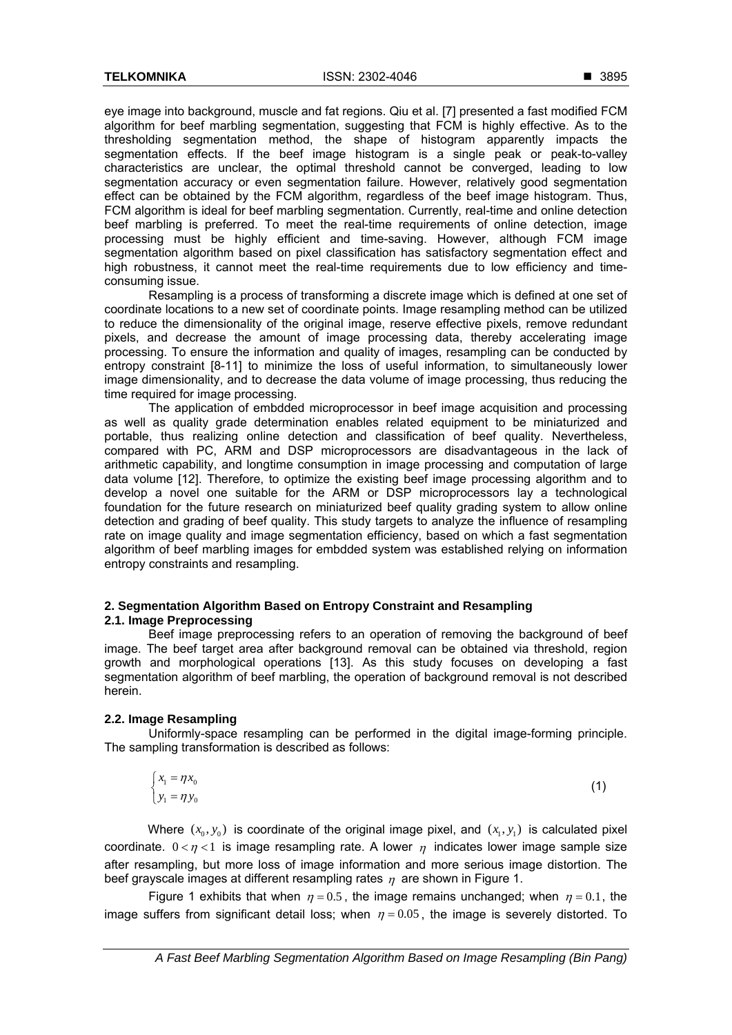eye image into background, muscle and fat regions. Qiu et al. [7] presented a fast modified FCM algorithm for beef marbling segmentation, suggesting that FCM is highly effective. As to the thresholding segmentation method, the shape of histogram apparently impacts the segmentation effects. If the beef image histogram is a single peak or peak-to-valley characteristics are unclear, the optimal threshold cannot be converged, leading to low segmentation accuracy or even segmentation failure. However, relatively good segmentation effect can be obtained by the FCM algorithm, regardless of the beef image histogram. Thus, FCM algorithm is ideal for beef marbling segmentation. Currently, real-time and online detection beef marbling is preferred. To meet the real-time requirements of online detection, image processing must be highly efficient and time-saving. However, although FCM image segmentation algorithm based on pixel classification has satisfactory segmentation effect and high robustness, it cannot meet the real-time requirements due to low efficiency and timeconsuming issue.

Resampling is a process of transforming a discrete image which is defined at one set of coordinate locations to a new set of coordinate points. Image resampling method can be utilized to reduce the dimensionality of the original image, reserve effective pixels, remove redundant pixels, and decrease the amount of image processing data, thereby accelerating image processing. To ensure the information and quality of images, resampling can be conducted by entropy constraint [8-11] to minimize the loss of useful information, to simultaneously lower image dimensionality, and to decrease the data volume of image processing, thus reducing the time required for image processing.

The application of embdded microprocessor in beef image acquisition and processing as well as quality grade determination enables related equipment to be miniaturized and portable, thus realizing online detection and classification of beef quality. Nevertheless, compared with PC, ARM and DSP microprocessors are disadvantageous in the lack of arithmetic capability, and longtime consumption in image processing and computation of large data volume [12]. Therefore, to optimize the existing beef image processing algorithm and to develop a novel one suitable for the ARM or DSP microprocessors lay a technological foundation for the future research on miniaturized beef quality grading system to allow online detection and grading of beef quality. This study targets to analyze the influence of resampling rate on image quality and image segmentation efficiency, based on which a fast segmentation algorithm of beef marbling images for embdded system was established relying on information entropy constraints and resampling.

# **2. Segmentation Algorithm Based on Entropy Constraint and Resampling 2.1. Image Preprocessing**

Beef image preprocessing refers to an operation of removing the background of beef image. The beef target area after background removal can be obtained via threshold, region growth and morphological operations [13]. As this study focuses on developing a fast segmentation algorithm of beef marbling, the operation of background removal is not described herein.

# **2.2. Image Resampling**

Uniformly-space resampling can be performed in the digital image-forming principle. The sampling transformation is described as follows:

$$
\begin{cases} x_1 = \eta x_0 \\ y_1 = \eta y_0 \end{cases} \tag{1}
$$

Where  $(x_0, y_0)$  is coordinate of the original image pixel, and  $(x_1, y_1)$  is calculated pixel coordinate.  $0 < \eta < 1$  is image resampling rate. A lower  $\eta$  indicates lower image sample size after resampling, but more loss of image information and more serious image distortion. The beef grayscale images at different resampling rates  $\eta$  are shown in Figure 1.

Figure 1 exhibits that when  $n = 0.5$ , the image remains unchanged; when  $n = 0.1$ , the image suffers from significant detail loss; when  $\eta = 0.05$ , the image is severely distorted. To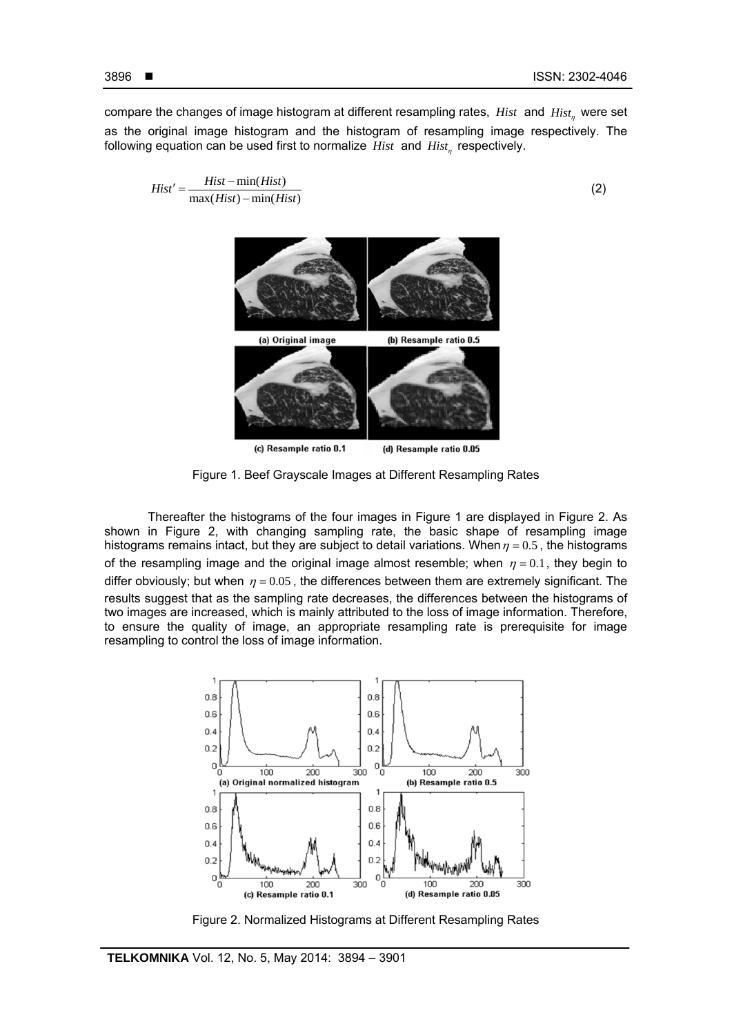following equation can be used first to normalize *Hist* and *Hist*, respectively.

$$
Hist' = \frac{Hist - \min(Hist)}{\max(Hist) - \min(Hist)}
$$
(2)



Figure 1. Beef Grayscale Images at Different Resampling Rates

Thereafter the histograms of the four images in Figure 1 are displayed in Figure 2. As shown in Figure 2, with changing sampling rate, the basic shape of resampling image histograms remains intact, but they are subject to detail variations. When  $\eta = 0.5$ , the histograms of the resampling image and the original image almost resemble; when  $\eta = 0.1$ , they begin to differ obviously; but when  $\eta = 0.05$ , the differences between them are extremely significant. The results suggest that as the sampling rate decreases, the differences between the histograms of two images are increased, which is mainly attributed to the loss of image information. Therefore, to ensure the quality of image, an appropriate resampling rate is prerequisite for image resampling to control the loss of image information.



Figure 2. Normalized Histograms at Different Resampling Rates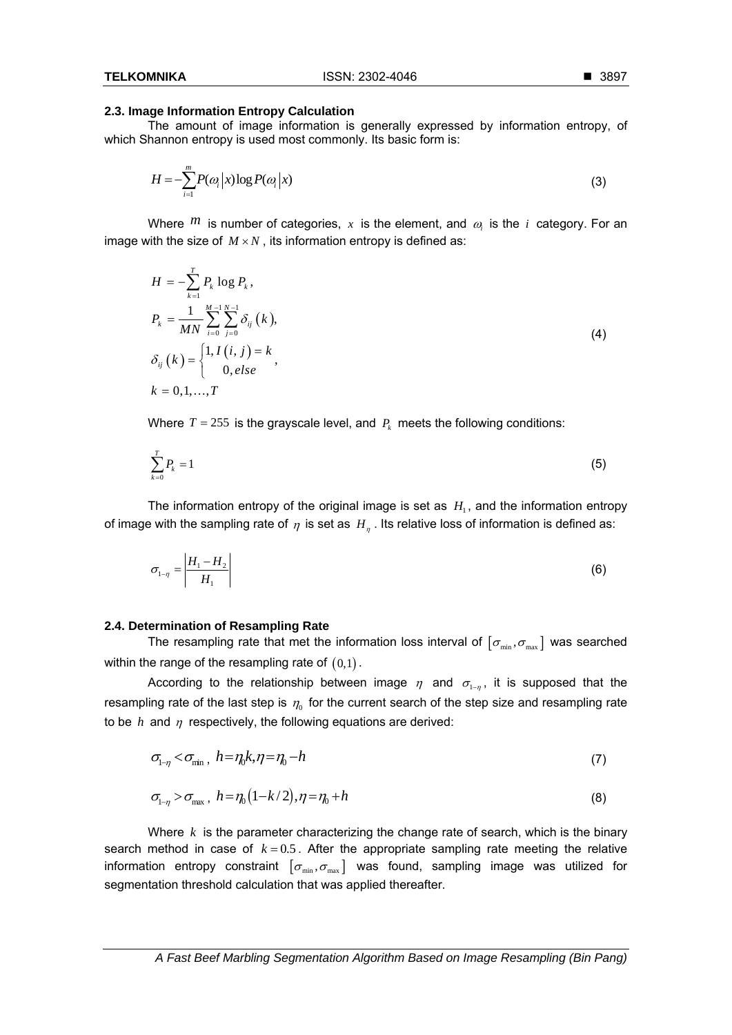## **2.3. Image Information Entropy Calculation**

The amount of image information is generally expressed by information entropy, of which Shannon entropy is used most commonly. Its basic form is:

$$
H = -\sum_{i=1}^{m} P(\omega_i | x) \log P(\omega_i | x)
$$
\n(3)

Where  $^{\text{m}}$  is number of categories, x is the element, and  $\omega$  is the *i* category. For an image with the size of  $M \times N$ , its information entropy is defined as:

$$
H = -\sum_{k=1}^{T} P_k \log P_k,
$$
  
\n
$$
P_k = \frac{1}{MN} \sum_{i=0}^{M-1} \sum_{j=0}^{N-1} \delta_{ij} (k),
$$
  
\n
$$
\delta_{ij} (k) = \begin{cases} 1, I (i, j) = k \\ 0, else \end{cases}
$$
, (4)

Where  $T = 255$  is the grayscale level, and  $P_k$  meets the following conditions:

$$
\sum_{k=0}^{T} P_k = 1 \tag{5}
$$

The information entropy of the original image is set as  $H<sub>1</sub>$ , and the information entropy of image with the sampling rate of  $\eta$  is set as  $H_n$ . Its relative loss of information is defined as:

$$
\sigma_{1-\eta} = \left| \frac{H_1 - H_2}{H_1} \right| \tag{6}
$$

#### **2.4. Determination of Resampling Rate**

The resampling rate that met the information loss interval of  $[\sigma_{min}, \sigma_{max}]$  was searched within the range of the resampling rate of  $(0,1)$ .

According to the relationship between image  $\eta$  and  $\sigma_{1-n}$ , it is supposed that the resampling rate of the last step is  $\eta_0$  for the current search of the step size and resampling rate to be  $h$  and  $\eta$  respectively, the following equations are derived:

$$
\sigma_{1-\eta} < \sigma_{\min}, \quad h = \eta_0 k, \eta = \eta_0 - h \tag{7}
$$

$$
\sigma_{1-\eta} > \sigma_{\text{max}} , \quad h = \eta_0 \left( 1 - k/2 \right), \eta = \eta_0 + h \tag{8}
$$

Where *k* is the parameter characterizing the change rate of search, which is the binary search method in case of  $k = 0.5$ . After the appropriate sampling rate meeting the relative information entropy constraint  $[\sigma_{\min}, \sigma_{\max}]$  was found, sampling image was utilized for segmentation threshold calculation that was applied thereafter.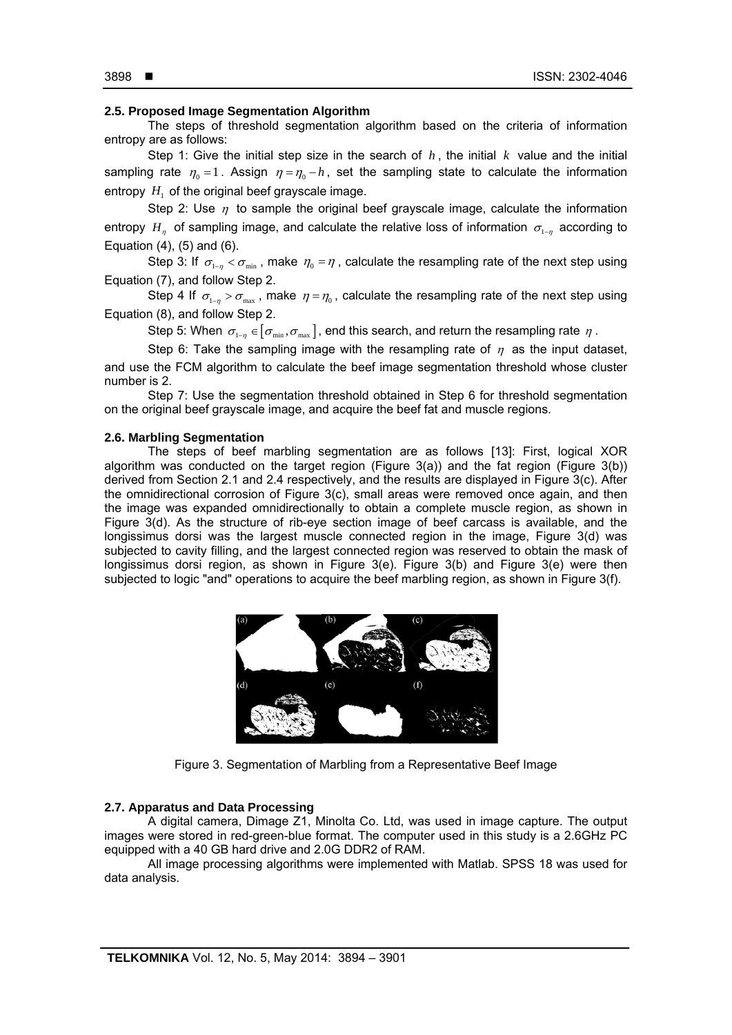#### 3898 **■**

İ

# **2.5. Proposed Image Segmentation Algorithm**

The steps of threshold segmentation algorithm based on the criteria of information entropy are as follows:

Step 1: Give the initial step size in the search of  $h$ , the initial  $k$  value and the initial sampling rate  $\eta_0 = 1$ . Assign  $\eta = \eta_0 - h$ , set the sampling state to calculate the information entropy  $H<sub>1</sub>$  of the original beef grayscale image.

Step 2: Use  $\eta$  to sample the original beef grayscale image, calculate the information entropy  $H_n$  of sampling image, and calculate the relative loss of information  $\sigma_{1-n}$  according to Equation (4), (5) and (6).

Step 3: If  $\sigma_{1-n} < \sigma_{min}$ , make  $\eta_0 = \eta$ , calculate the resampling rate of the next step using Equation (7), and follow Step 2.

Step 4 If  $\sigma_{1-n} > \sigma_{\text{max}}$ , make  $\eta = \eta_0$ , calculate the resampling rate of the next step using Equation (8), and follow Step 2.

Step 5: When  $\sigma_{1-n} \in [\sigma_{min}, \sigma_{max}]$ , end this search, and return the resampling rate  $\eta$ .

Step 6: Take the sampling image with the resampling rate of  $\eta$  as the input dataset, and use the FCM algorithm to calculate the beef image segmentation threshold whose cluster number is 2.

Step 7: Use the segmentation threshold obtained in Step 6 for threshold segmentation on the original beef grayscale image, and acquire the beef fat and muscle regions.

#### **2.6. Marbling Segmentation**

The steps of beef marbling segmentation are as follows [13]: First, logical XOR algorithm was conducted on the target region (Figure 3(a)) and the fat region (Figure 3(b)) derived from Section 2.1 and 2.4 respectively, and the results are displayed in Figure 3(c). After the omnidirectional corrosion of Figure 3(c), small areas were removed once again, and then the image was expanded omnidirectionally to obtain a complete muscle region, as shown in Figure 3(d). As the structure of rib-eye section image of beef carcass is available, and the longissimus dorsi was the largest muscle connected region in the image, Figure 3(d) was subjected to cavity filling, and the largest connected region was reserved to obtain the mask of longissimus dorsi region, as shown in Figure 3(e). Figure 3(b) and Figure 3(e) were then subjected to logic "and" operations to acquire the beef marbling region, as shown in Figure 3(f).



Figure 3. Segmentation of Marbling from a Representative Beef Image

# **2.7. Apparatus and Data Processing**

A digital camera, Dimage Z1, Minolta Co. Ltd, was used in image capture. The output images were stored in red-green-blue format. The computer used in this study is a 2.6GHz PC equipped with a 40 GB hard drive and 2.0G DDR2 of RAM.

All image processing algorithms were implemented with Matlab. SPSS 18 was used for data analysis.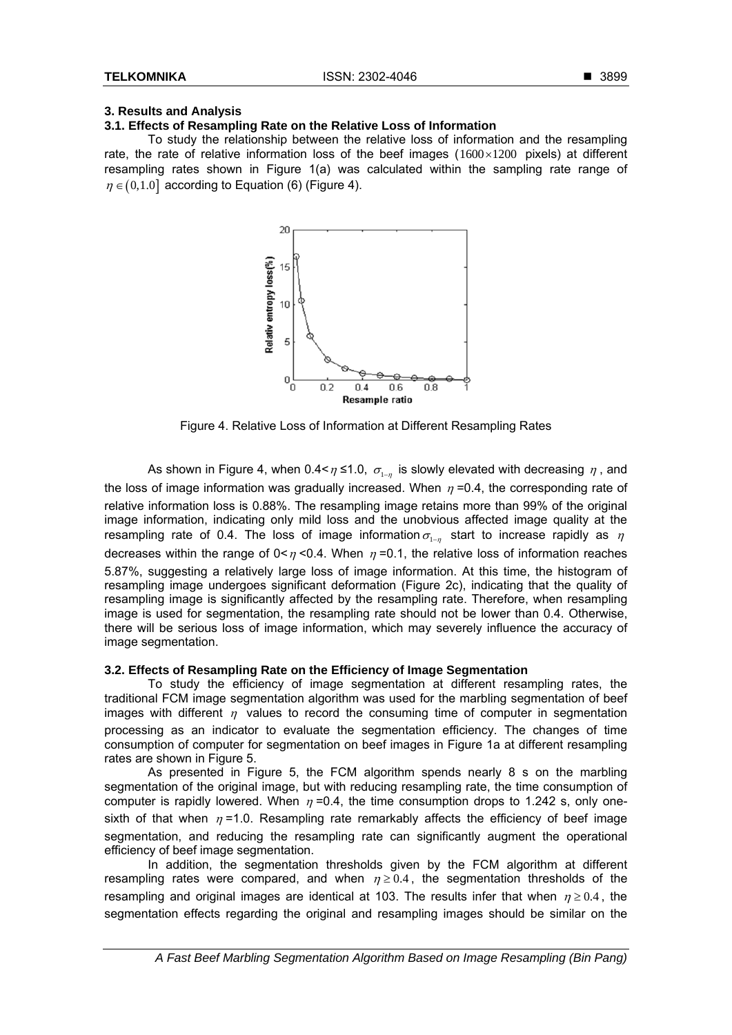#### ■ 3899

# **3. Results and Analysis**

# **3.1. Effects of Resampling Rate on the Relative Loss of Information**

To study the relationship between the relative loss of information and the resampling rate, the rate of relative information loss of the beef images  $(1600 \times 1200)$  pixels) at different resampling rates shown in Figure 1(a) was calculated within the sampling rate range of  $\eta \in (0,1.0]$  according to Equation (6) (Figure 4).



Figure 4. Relative Loss of Information at Different Resampling Rates

As shown in Figure 4, when 0.4 <  $\eta$  ≤1.0,  $\sigma_{1-n}$  is slowly elevated with decreasing  $\eta$ , and the loss of image information was gradually increased. When  $\eta$  =0.4, the corresponding rate of relative information loss is 0.88%. The resampling image retains more than 99% of the original image information, indicating only mild loss and the unobvious affected image quality at the resampling rate of 0.4. The loss of image information  $\sigma_{1-n}$  start to increase rapidly as  $\eta$ decreases within the range of  $0 \le \eta \le 0.4$ . When  $\eta = 0.1$ , the relative loss of information reaches 5.87%, suggesting a relatively large loss of image information. At this time, the histogram of resampling image undergoes significant deformation (Figure 2c), indicating that the quality of resampling image is significantly affected by the resampling rate. Therefore, when resampling image is used for segmentation, the resampling rate should not be lower than 0.4. Otherwise, there will be serious loss of image information, which may severely influence the accuracy of image segmentation.

# **3.2. Effects of Resampling Rate on the Efficiency of Image Segmentation**

To study the efficiency of image segmentation at different resampling rates, the traditional FCM image segmentation algorithm was used for the marbling segmentation of beef images with different  $\eta$  values to record the consuming time of computer in segmentation processing as an indicator to evaluate the segmentation efficiency. The changes of time consumption of computer for segmentation on beef images in Figure 1a at different resampling rates are shown in Figure 5.

As presented in Figure 5, the FCM algorithm spends nearly 8 s on the marbling segmentation of the original image, but with reducing resampling rate, the time consumption of computer is rapidly lowered. When  $\eta = 0.4$ , the time consumption drops to 1.242 s, only onesixth of that when  $\eta = 1.0$ . Resampling rate remarkably affects the efficiency of beef image segmentation, and reducing the resampling rate can significantly augment the operational efficiency of beef image segmentation.

In addition, the segmentation thresholds given by the FCM algorithm at different resampling rates were compared, and when  $\eta \ge 0.4$ , the segmentation thresholds of the resampling and original images are identical at 103. The results infer that when  $\eta \geq 0.4$ , the segmentation effects regarding the original and resampling images should be similar on the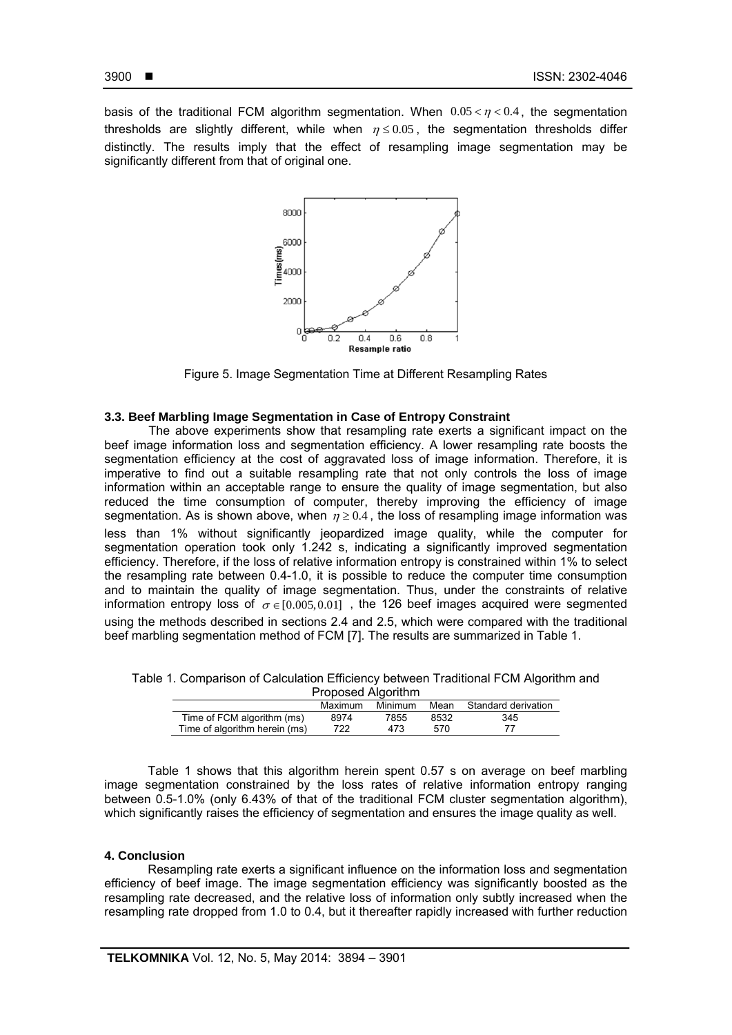İ

basis of the traditional FCM algorithm segmentation. When  $0.05 < \eta < 0.4$ , the segmentation thresholds are slightly different, while when  $\eta \le 0.05$ , the segmentation thresholds differ distinctly. The results imply that the effect of resampling image segmentation may be significantly different from that of original one.



Figure 5. Image Segmentation Time at Different Resampling Rates

#### **3.3. Beef Marbling Image Segmentation in Case of Entropy Constraint**

The above experiments show that resampling rate exerts a significant impact on the beef image information loss and segmentation efficiency. A lower resampling rate boosts the segmentation efficiency at the cost of aggravated loss of image information. Therefore, it is imperative to find out a suitable resampling rate that not only controls the loss of image information within an acceptable range to ensure the quality of image segmentation, but also reduced the time consumption of computer, thereby improving the efficiency of image segmentation. As is shown above, when  $\eta \geq 0.4$ , the loss of resampling image information was less than 1% without significantly jeopardized image quality, while the computer for segmentation operation took only 1.242 s, indicating a significantly improved segmentation efficiency. Therefore, if the loss of relative information entropy is constrained within 1% to select the resampling rate between 0.4-1.0, it is possible to reduce the computer time consumption and to maintain the quality of image segmentation. Thus, under the constraints of relative information entropy loss of  $\sigma \in [0.005, 0.01]$ , the 126 beef images acquired were segmented using the methods described in sections 2.4 and 2.5, which were compared with the traditional beef marbling segmentation method of FCM [7]. The results are summarized in Table 1.

|                    |  | Table 1. Comparison of Calculation Efficiency between Traditional FCM Algorithm and |  |  |  |                                                                                                                                  |  |  |  |  |
|--------------------|--|-------------------------------------------------------------------------------------|--|--|--|----------------------------------------------------------------------------------------------------------------------------------|--|--|--|--|
| Proposed Algorithm |  |                                                                                     |  |  |  |                                                                                                                                  |  |  |  |  |
|                    |  |                                                                                     |  |  |  | $M_{\rm{eff}}$ and $M_{\rm{eff}}$ are $M_{\rm{eff}}$ and $M_{\rm{eff}}$ and $M_{\rm{eff}}$ and $M_{\rm{eff}}$ are $M_{\rm{eff}}$ |  |  |  |  |

| Maximum | Minimum | Mean | Standard derivation |  |  |  |  |  |  |  |
|---------|---------|------|---------------------|--|--|--|--|--|--|--|
| 8974    | 7855    | 8532 | 345                 |  |  |  |  |  |  |  |
| 722.    | 473     | 570  |                     |  |  |  |  |  |  |  |
|         |         |      |                     |  |  |  |  |  |  |  |

Table 1 shows that this algorithm herein spent 0.57 s on average on beef marbling image segmentation constrained by the loss rates of relative information entropy ranging between 0.5-1.0% (only 6.43% of that of the traditional FCM cluster segmentation algorithm), which significantly raises the efficiency of segmentation and ensures the image quality as well.

## **4. Conclusion**

Resampling rate exerts a significant influence on the information loss and segmentation efficiency of beef image. The image segmentation efficiency was significantly boosted as the resampling rate decreased, and the relative loss of information only subtly increased when the resampling rate dropped from 1.0 to 0.4, but it thereafter rapidly increased with further reduction